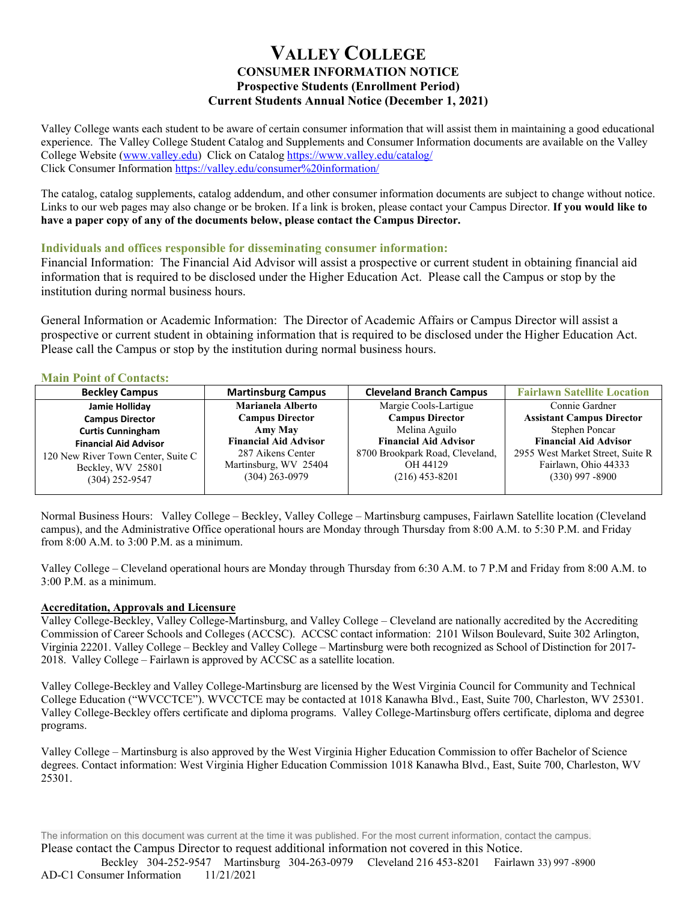# **VALLEY COLLEGE CONSUMER INFORMATION NOTICE Prospective Students (Enrollment Period) Current Students Annual Notice (December 1, 2021)**

Valley College wants each student to be aware of certain consumer information that will assist them in maintaining a good educational experience. The Valley College Student Catalog and Supplements and Consumer Information documents are available on the Valley College Website [\(www.valley.edu\)](http://www.valley.edu/) Click on Catalog<https://www.valley.edu/catalog/> Click Consumer Information <https://valley.edu/consumer%20information/>

The catalog, catalog supplements, catalog addendum, and other consumer information documents are subject to change without notice. Links to our web pages may also change or be broken. If a link is broken, please contact your Campus Director. **If you would like to have a paper copy of any of the documents below, please contact the Campus Director.** 

#### **Individuals and offices responsible for disseminating consumer information:**

Financial Information: The Financial Aid Advisor will assist a prospective or current student in obtaining financial aid information that is required to be disclosed under the Higher Education Act. Please call the Campus or stop by the institution during normal business hours.

General Information or Academic Information: The Director of Academic Affairs or Campus Director will assist a prospective or current student in obtaining information that is required to be disclosed under the Higher Education Act. Please call the Campus or stop by the institution during normal business hours.

### **Main Point of Contacts:**

| <b>Beckley Campus</b>              | <b>Martinsburg Campus</b>    | <b>Cleveland Branch Campus</b>  | <b>Fairlawn Satellite Location</b> |
|------------------------------------|------------------------------|---------------------------------|------------------------------------|
| Jamie Holliday                     | Marianela Alberto            | Margie Cools-Lartigue           | Connie Gardner                     |
| <b>Campus Director</b>             | <b>Campus Director</b>       | <b>Campus Director</b>          | <b>Assistant Campus Director</b>   |
| <b>Curtis Cunningham</b>           | Amy May                      | Melina Aguilo                   | Stephen Poncar                     |
| <b>Financial Aid Advisor</b>       | <b>Financial Aid Advisor</b> | <b>Financial Aid Advisor</b>    | <b>Financial Aid Advisor</b>       |
| 120 New River Town Center, Suite C | 287 Aikens Center            | 8700 Brookpark Road, Cleveland, | 2955 West Market Street, Suite R   |
| Beckley, WV 25801                  | Martinsburg, WV 25404        | OH 44129                        | Fairlawn, Ohio 44333               |
| $(304)$ 252-9547                   | $(304)$ 263-0979             | $(216)$ 453-8201                | $(330)$ 997 -8900                  |
|                                    |                              |                                 |                                    |

Normal Business Hours: Valley College – Beckley, Valley College – Martinsburg campuses, Fairlawn Satellite location (Cleveland campus), and the Administrative Office operational hours are Monday through Thursday from 8:00 A.M. to 5:30 P.M. and Friday from 8:00 A.M. to 3:00 P.M. as a minimum.

Valley College – Cleveland operational hours are Monday through Thursday from 6:30 A.M. to 7 P.M and Friday from 8:00 A.M. to 3:00 P.M. as a minimum.

### **Accreditation, Approvals and Licensure**

Valley College-Beckley, Valley College-Martinsburg, and Valley College – Cleveland are nationally accredited by the Accrediting Commission of Career Schools and Colleges (ACCSC). ACCSC contact information: 2101 Wilson Boulevard, Suite 302 Arlington, Virginia 22201. Valley College – Beckley and Valley College – Martinsburg were both recognized as School of Distinction for 2017- 2018. Valley College – Fairlawn is approved by ACCSC as a satellite location.

Valley College-Beckley and Valley College-Martinsburg are licensed by the West Virginia Council for Community and Technical College Education ("WVCCTCE"). WVCCTCE may be contacted at 1018 Kanawha Blvd., East, Suite 700, Charleston, WV 25301. Valley College-Beckley offers certificate and diploma programs. Valley College-Martinsburg offers certificate, diploma and degree programs.

Valley College – Martinsburg is also approved by the West Virginia Higher Education Commission to offer Bachelor of Science degrees. Contact information: West Virginia Higher Education Commission 1018 Kanawha Blvd., East, Suite 700, Charleston, WV 25301.

The information on this document was current at the time it was published. For the most current information, contact the campus. Please contact the Campus Director to request additional information not covered in this Notice.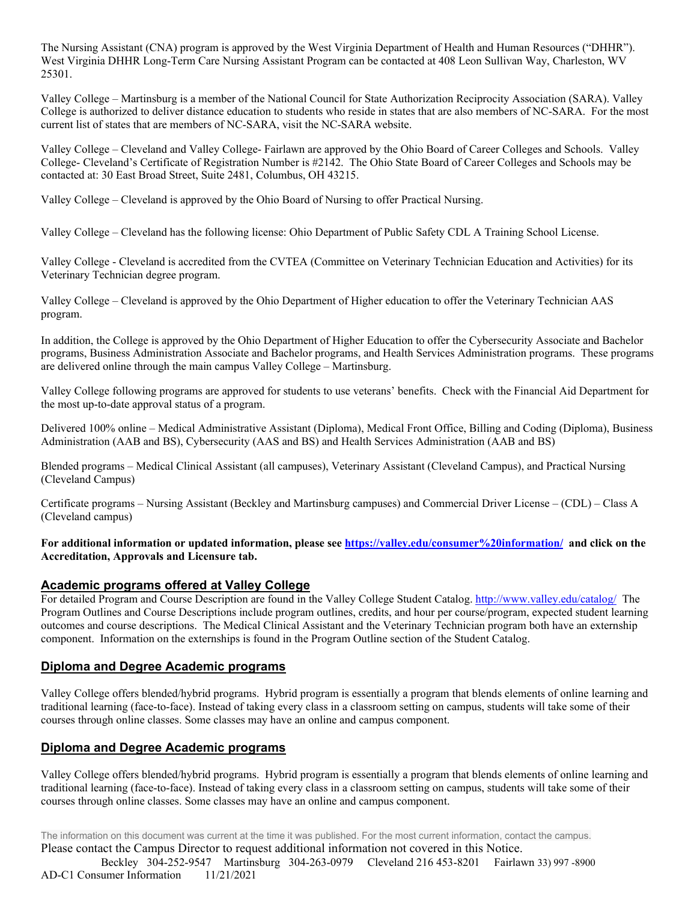The Nursing Assistant (CNA) program is approved by the West Virginia Department of Health and Human Resources ("DHHR"). West Virginia DHHR Long-Term Care Nursing Assistant Program can be contacted at 408 Leon Sullivan Way, Charleston, WV 25301.

Valley College – Martinsburg is a member of the National Council for State Authorization Reciprocity Association (SARA). Valley College is authorized to deliver distance education to students who reside in states that are also members of NC-SARA. For the most current list of states that are members of NC-SARA, visit the NC-SARA website.

Valley College – Cleveland and Valley College- Fairlawn are approved by the Ohio Board of Career Colleges and Schools. Valley College- Cleveland's Certificate of Registration Number is #2142. The Ohio State Board of Career Colleges and Schools may be contacted at: 30 East Broad Street, Suite 2481, Columbus, OH 43215.

Valley College – Cleveland is approved by the Ohio Board of Nursing to offer Practical Nursing.

Valley College – Cleveland has the following license: Ohio Department of Public Safety CDL A Training School License.

Valley College - Cleveland is accredited from the CVTEA (Committee on Veterinary Technician Education and Activities) for its Veterinary Technician degree program.

Valley College – Cleveland is approved by the Ohio Department of Higher education to offer the Veterinary Technician AAS program.

In addition, the College is approved by the Ohio Department of Higher Education to offer the Cybersecurity Associate and Bachelor programs, Business Administration Associate and Bachelor programs, and Health Services Administration programs. These programs are delivered online through the main campus Valley College – Martinsburg.

Valley College following programs are approved for students to use veterans' benefits. Check with the Financial Aid Department for the most up-to-date approval status of a program.

Delivered 100% online – Medical Administrative Assistant (Diploma), Medical Front Office, Billing and Coding (Diploma), Business Administration (AAB and BS), Cybersecurity (AAS and BS) and Health Services Administration (AAB and BS)

Blended programs – Medical Clinical Assistant (all campuses), Veterinary Assistant (Cleveland Campus), and Practical Nursing (Cleveland Campus)

Certificate programs – Nursing Assistant (Beckley and Martinsburg campuses) and Commercial Driver License – (CDL) – Class A (Cleveland campus)

**For additional information or updated information, please see<https://valley.edu/consumer%20information/> and click on the Accreditation, Approvals and Licensure tab.**

# **Academic programs offered at Valley College**

For detailed Program and Course Description are found in the Valley College Student Catalog.<http://www.valley.edu/catalog/>The Program Outlines and Course Descriptions include program outlines, credits, and hour per course/program, expected student learning outcomes and course descriptions. The Medical Clinical Assistant and the Veterinary Technician program both have an externship component. Information on the externships is found in the Program Outline section of the Student Catalog.

# **Diploma and Degree Academic programs**

Valley College offers blended/hybrid programs. Hybrid program is essentially a program that blends elements of online learning and traditional learning (face-to-face). Instead of taking every class in a classroom setting on campus, students will take some of their courses through online classes. Some classes may have an online and campus component.

# **Diploma and Degree Academic programs**

Valley College offers blended/hybrid programs. Hybrid program is essentially a program that blends elements of online learning and traditional learning (face-to-face). Instead of taking every class in a classroom setting on campus, students will take some of their courses through online classes. Some classes may have an online and campus component.

The information on this document was current at the time it was published. For the most current information, contact the campus. Please contact the Campus Director to request additional information not covered in this Notice.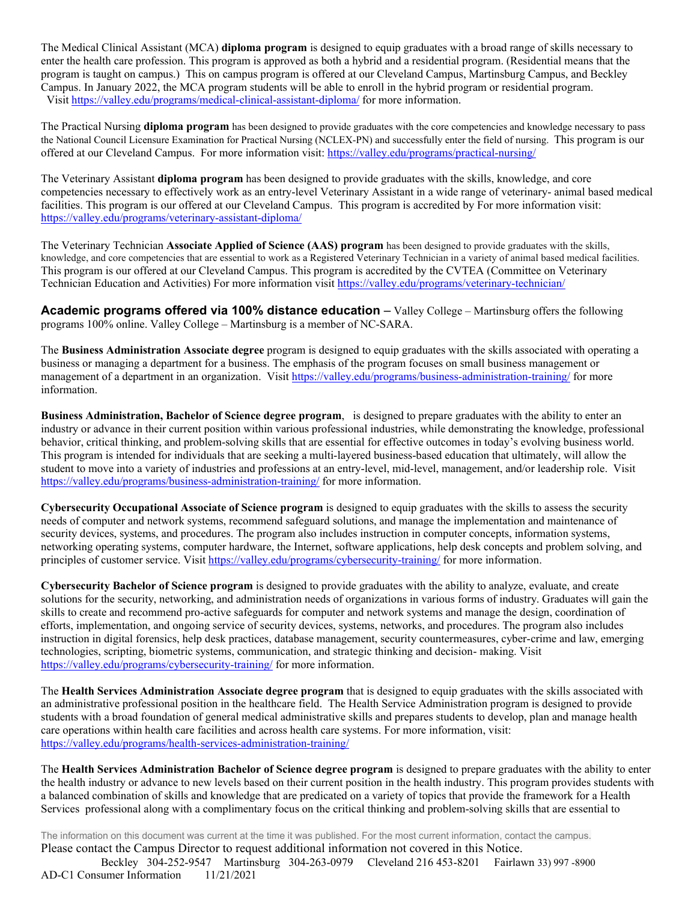The Medical Clinical Assistant (MCA) **diploma program** is designed to equip graduates with a broad range of skills necessary to enter the health care profession. This program is approved as both a hybrid and a residential program. (Residential means that the program is taught on campus.) This on campus program is offered at our Cleveland Campus, Martinsburg Campus, and Beckley Campus. In January 2022, the MCA program students will be able to enroll in the hybrid program or residential program. Visit<https://valley.edu/programs/medical-clinical-assistant-diploma/> for more information.

The Practical Nursing **diploma program** has been designed to provide graduates with the core competencies and knowledge necessary to pass the National Council Licensure Examination for Practical Nursing (NCLEX-PN) and successfully enter the field of nursing. This program is our offered at our Cleveland Campus. For more information visit: <https://valley.edu/programs/practical-nursing/>

The Veterinary Assistant **diploma program** has been designed to provide graduates with the skills, knowledge, and core competencies necessary to effectively work as an entry-level Veterinary Assistant in a wide range of veterinary- animal based medical facilities. This program is our offered at our Cleveland Campus. This program is accredited by For more information visit: <https://valley.edu/programs/veterinary-assistant-diploma/>

The Veterinary Technician **Associate Applied of Science (AAS) program** has been designed to provide graduates with the skills, knowledge, and core competencies that are essential to work as a Registered Veterinary Technician in a variety of animal based medical facilities. This program is our offered at our Cleveland Campus. This program is accredited by the CVTEA (Committee on Veterinary Technician Education and Activities) For more information visit <https://valley.edu/programs/veterinary-technician/>

**Academic programs offered via 100% distance education** – Valley College – Martinsburg offers the following programs 100% online. Valley College – Martinsburg is a member of NC-SARA.

The **Business Administration Associate degree** program is designed to equip graduates with the skills associated with operating a business or managing a department for a business. The emphasis of the program focuses on small business management or management of a department in an organization. Visit<https://valley.edu/programs/business-administration-training/> for more information.

**Business Administration, Bachelor of Science degree program**, is designed to prepare graduates with the ability to enter an industry or advance in their current position within various professional industries, while demonstrating the knowledge, professional behavior, critical thinking, and problem-solving skills that are essential for effective outcomes in today's evolving business world. This program is intended for individuals that are seeking a multi-layered business-based education that ultimately, will allow the student to move into a variety of industries and professions at an entry-level, mid-level, management, and/or leadership role. Visit <https://valley.edu/programs/business-administration-training/> for more information.

**Cybersecurity Occupational Associate of Science program** is designed to equip graduates with the skills to assess the security needs of computer and network systems, recommend safeguard solutions, and manage the implementation and maintenance of security devices, systems, and procedures. The program also includes instruction in computer concepts, information systems, networking operating systems, computer hardware, the Internet, software applications, help desk concepts and problem solving, and principles of customer service. Visit<https://valley.edu/programs/cybersecurity-training/> for more information.

**Cybersecurity Bachelor of Science program** is designed to provide graduates with the ability to analyze, evaluate, and create solutions for the security, networking, and administration needs of organizations in various forms of industry. Graduates will gain the skills to create and recommend pro-active safeguards for computer and network systems and manage the design, coordination of efforts, implementation, and ongoing service of security devices, systems, networks, and procedures. The program also includes instruction in digital forensics, help desk practices, database management, security countermeasures, cyber-crime and law, emerging technologies, scripting, biometric systems, communication, and strategic thinking and decision- making. Visit <https://valley.edu/programs/cybersecurity-training/> for more information.

The **Health Services Administration Associate degree program** that is designed to equip graduates with the skills associated with an administrative professional position in the healthcare field. The Health Service Administration program is designed to provide students with a broad foundation of general medical administrative skills and prepares students to develop, plan and manage health care operations within health care facilities and across health care systems. For more information, visit: <https://valley.edu/programs/health-services-administration-training/>

The **Health Services Administration Bachelor of Science degree program** is designed to prepare graduates with the ability to enter the health industry or advance to new levels based on their current position in the health industry. This program provides students with a balanced combination of skills and knowledge that are predicated on a variety of topics that provide the framework for a Health Services professional along with a complimentary focus on the critical thinking and problem-solving skills that are essential to

The information on this document was current at the time it was published. For the most current information, contact the campus. Please contact the Campus Director to request additional information not covered in this Notice. Beckley 304-252-9547 Martinsburg 304-263-0979 Cleveland 216 453-8201 Fairlawn 33) 997 -8900 AD-C1 Consumer Information 11/21/2021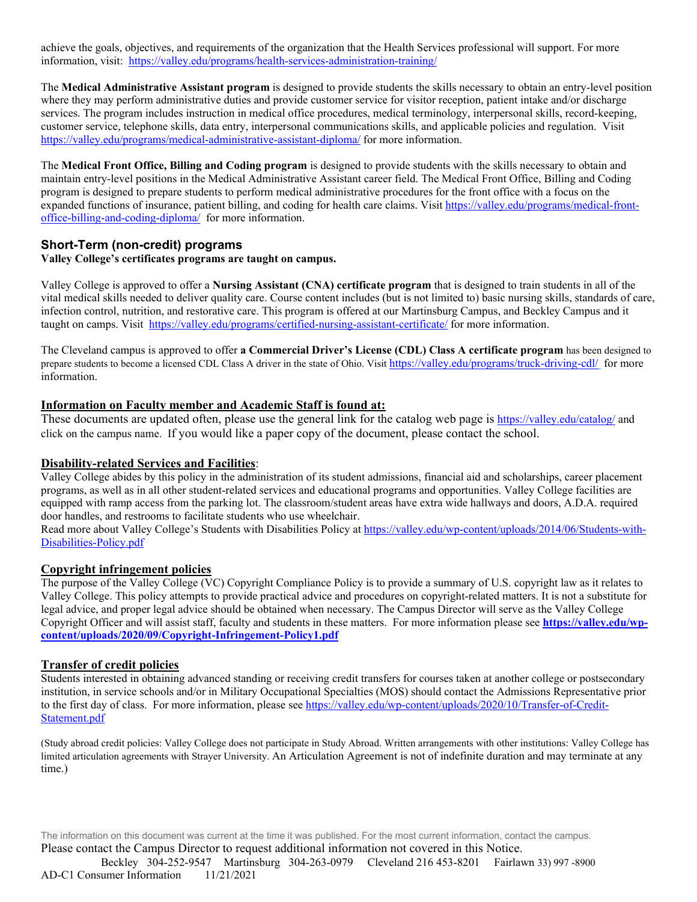achieve the goals, objectives, and requirements of the organization that the Health Services professional will support. For more information, visit: <https://valley.edu/programs/health-services-administration-training/>

The **Medical Administrative Assistant program** is designed to provide students the skills necessary to obtain an entry-level position where they may perform administrative duties and provide customer service for visitor reception, patient intake and/or discharge services. The program includes instruction in medical office procedures, medical terminology, interpersonal skills, record-keeping, customer service, telephone skills, data entry, interpersonal communications skills, and applicable policies and regulation. Visit <https://valley.edu/programs/medical-administrative-assistant-diploma/> for more information.

The **Medical Front Office, Billing and Coding program** is designed to provide students with the skills necessary to obtain and maintain entry-level positions in the Medical Administrative Assistant career field. The Medical Front Office, Billing and Coding program is designed to prepare students to perform medical administrative procedures for the front office with a focus on the expanded functions of insurance, patient billing, and coding for health care claims. Visi[t https://valley.edu/programs/medical-front](https://valley.edu/programs/medical-front-office-billing-and-coding-diploma/)[office-billing-and-coding-diploma/](https://valley.edu/programs/medical-front-office-billing-and-coding-diploma/) for more information.

### **Short-Term (non-credit) programs**

#### **Valley College's certificates programs are taught on campus.**

Valley College is approved to offer a **Nursing Assistant (CNA) certificate program** that is designed to train students in all of the vital medical skills needed to deliver quality care. Course content includes (but is not limited to) basic nursing skills, standards of care, infection control, nutrition, and restorative care. This program is offered at our Martinsburg Campus, and Beckley Campus and it taught on camps. Visit <https://valley.edu/programs/certified-nursing-assistant-certificate/> for more information.

The Cleveland campus is approved to offer **a Commercial Driver's License (CDL) Class A certificate program** has been designed to prepare students to become a licensed CDL Class A driver in the state of Ohio. Visit<https://valley.edu/programs/truck-driving-cdl/> for more information.

### **Information on Faculty member and Academic Staff is found at:**

These documents are updated often, please use the general link for the catalog web page is<https://valley.edu/catalog/> and click on the campus name. If you would like a paper copy of the document, please contact the school.

#### **Disability-related Services and Facilities**:

Valley College abides by this policy in the administration of its student admissions, financial aid and scholarships, career placement programs, as well as in all other student-related services and educational programs and opportunities. Valley College facilities are equipped with ramp access from the parking lot. The classroom/student areas have extra wide hallways and doors, A.D.A. required door handles, and restrooms to facilitate students who use wheelchair.

Read more about Valley College's Students with Disabilities Policy at [https://valley.edu/wp-content/uploads/2014/06/Students-with-](https://valley.edu/wp-content/uploads/2014/06/Students-with-Disabilities-Policy.pdf)[Disabilities-Policy.pdf](https://valley.edu/wp-content/uploads/2014/06/Students-with-Disabilities-Policy.pdf)

# **Copyright infringement policies**

The purpose of the Valley College (VC) Copyright Compliance Policy is to provide a summary of U.S. copyright law as it relates to Valley College. This policy attempts to provide practical advice and procedures on copyright-related matters. It is not a substitute for legal advice, and proper legal advice should be obtained when necessary. The Campus Director will serve as the Valley College Copyright Officer and will assist staff, faculty and students in these matters. For more information please see **[https://valley.edu/wp](https://valley.edu/wp-content/uploads/2020/09/Copyright-Infringement-Policy1.pdf)[content/uploads/2020/09/Copyright-Infringement-Policy1.pdf](https://valley.edu/wp-content/uploads/2020/09/Copyright-Infringement-Policy1.pdf)**

#### **Transfer of credit policies**

Students interested in obtaining advanced standing or receiving credit transfers for courses taken at another college or postsecondary institution, in service schools and/or in Military Occupational Specialties (MOS) should contact the Admissions Representative prior to the first day of class. For more information, please se[e https://valley.edu/wp-content/uploads/2020/10/Transfer-of-Credit-](https://valley.edu/wp-content/uploads/2020/10/Transfer-of-Credit-Statement.pdf)[Statement.pdf](https://valley.edu/wp-content/uploads/2020/10/Transfer-of-Credit-Statement.pdf)

(Study abroad credit policies: Valley College does not participate in Study Abroad. Written arrangements with other institutions: Valley College has limited articulation agreements with Strayer University. An Articulation Agreement is not of indefinite duration and may terminate at any time.)

The information on this document was current at the time it was published. For the most current information, contact the campus. Please contact the Campus Director to request additional information not covered in this Notice.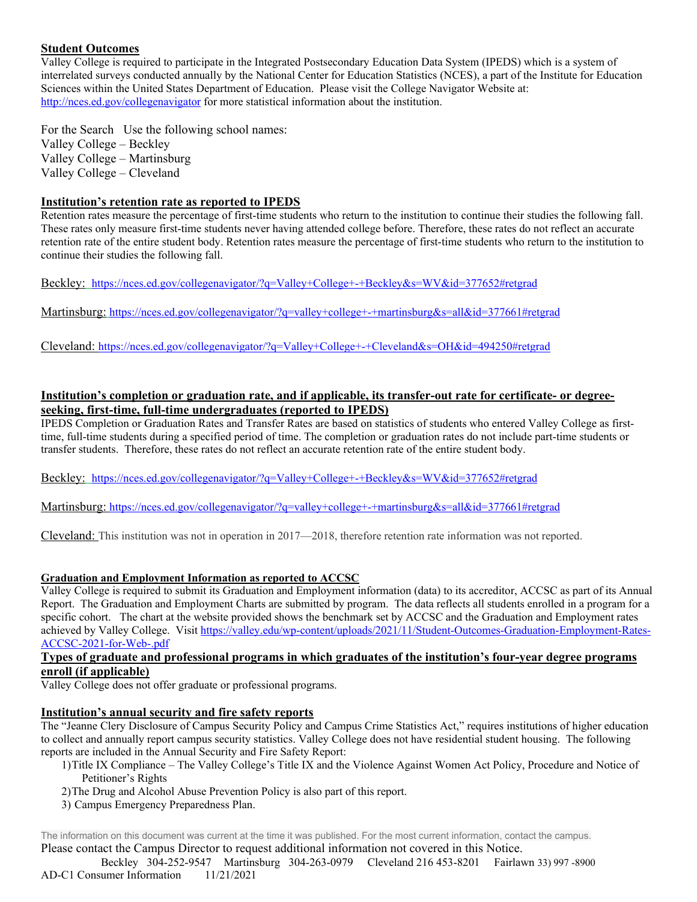# **Student Outcomes**

Valley College is required to participate in the Integrated Postsecondary Education Data System (IPEDS) which is a system of interrelated surveys conducted annually by the National Center for Education Statistics (NCES), a part of the Institute for Education Sciences within the United States Department of Education. Please visit the College Navigator Website at: <http://nces.ed.gov/collegenavigator> for more statistical information about the institution.

For the Search Use the following school names: Valley College – Beckley Valley College – Martinsburg Valley College – Cleveland

### **Institution's retention rate as reported to IPEDS**

Retention rates measure the percentage of first-time students who return to the institution to continue their studies the following fall. These rates only measure first-time students never having attended college before. Therefore, these rates do not reflect an accurate retention rate of the entire student body. Retention rates measure the percentage of first-time students who return to the institution to continue their studies the following fall.

Beckley: <https://nces.ed.gov/collegenavigator/?q=Valley+College+-+Beckley&s=WV&id=377652#retgrad>

Martinsburg: <https://nces.ed.gov/collegenavigator/?q=valley+college+-+martinsburg&s=all&id=377661#retgrad>

Cleveland:<https://nces.ed.gov/collegenavigator/?q=Valley+College+-+Cleveland&s=OH&id=494250#retgrad>

# **Institution's completion or graduation rate, and if applicable, its transfer-out rate for certificate- or degreeseeking, first-time, full-time undergraduates (reported to IPEDS)**

IPEDS Completion or Graduation Rates and Transfer Rates are based on statistics of students who entered Valley College as firsttime, full-time students during a specified period of time. The completion or graduation rates do not include part-time students or transfer students. Therefore, these rates do not reflect an accurate retention rate of the entire student body.

Beckley: <https://nces.ed.gov/collegenavigator/?q=Valley+College+-+Beckley&s=WV&id=377652#retgrad>

Martinsburg:<https://nces.ed.gov/collegenavigator/?q=valley+college+-+martinsburg&s=all&id=377661#retgrad>

Cleveland: This institution was not in operation in 2017—2018, therefore retention rate information was not reported.

# **Graduation and Employment Information as reported to ACCSC**

Valley College is required to submit its Graduation and Employment information (data) to its accreditor, ACCSC as part of its Annual Report. The Graduation and Employment Charts are submitted by program. The data reflects all students enrolled in a program for a specific cohort. The chart at the website provided shows the benchmark set by ACCSC and the Graduation and Employment rates achieved by Valley College. Visit [https://valley.edu/wp-content/uploads/2021/11/Student-Outcomes-Graduation-Employment-Rates-](https://valley.edu/wp-content/uploads/2021/11/Student-Outcomes-Graduation-Employment-Rates-ACCSC-2021-for-Web-.pdf)[ACCSC-2021-for-Web-.pdf](https://valley.edu/wp-content/uploads/2021/11/Student-Outcomes-Graduation-Employment-Rates-ACCSC-2021-for-Web-.pdf)

# **Types of graduate and professional programs in which graduates of the institution's four-year degree programs enroll (if applicable)**

Valley College does not offer graduate or professional programs.

# **Institution's annual security and fire safety reports**

The "Jeanne Clery Disclosure of Campus Security Policy and Campus Crime Statistics Act," requires institutions of higher education to collect and annually report campus security statistics. Valley College does not have residential student housing. The following reports are included in the Annual Security and Fire Safety Report:

- 1)Title IX Compliance The Valley College's Title IX and the Violence Against Women Act Policy, Procedure and Notice of Petitioner's Rights
- 2)The Drug and Alcohol Abuse Prevention Policy is also part of this report.
- 3) Campus Emergency Preparedness Plan.

The information on this document was current at the time it was published. For the most current information, contact the campus. Please contact the Campus Director to request additional information not covered in this Notice.